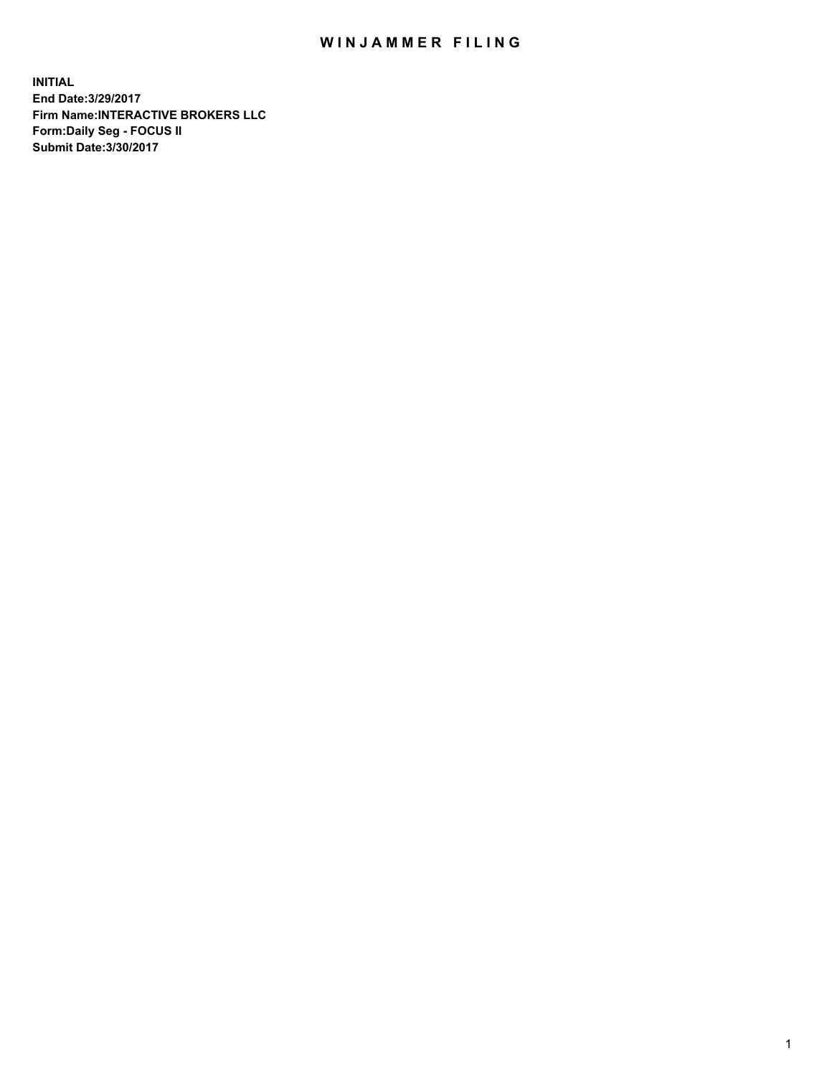## WIN JAMMER FILING

**INITIAL End Date:3/29/2017 Firm Name:INTERACTIVE BROKERS LLC Form:Daily Seg - FOCUS II Submit Date:3/30/2017**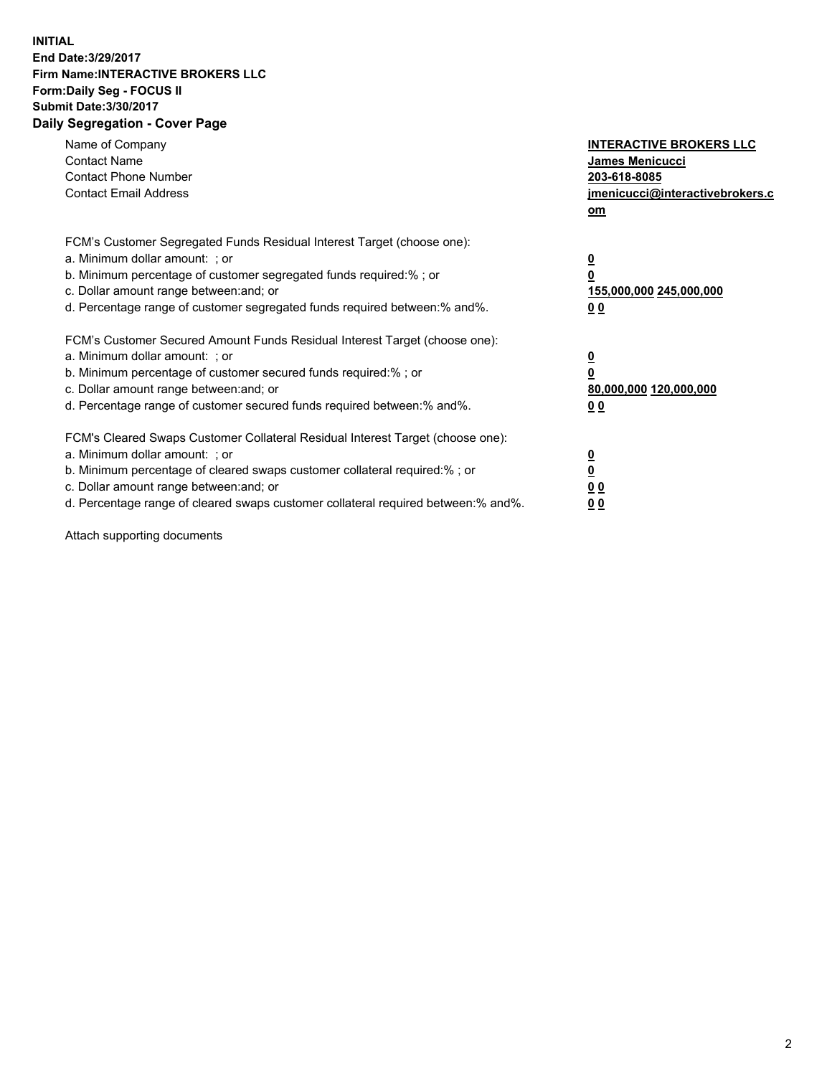## **INITIAL End Date:3/29/2017 Firm Name:INTERACTIVE BROKERS LLC Form:Daily Seg - FOCUS II Submit Date:3/30/2017 Daily Segregation - Cover Page**

| Name of Company<br><b>Contact Name</b><br><b>Contact Phone Number</b><br><b>Contact Email Address</b>                                                                                                                                                                                                                          | <b>INTERACTIVE BROKERS LLC</b><br>James Menicucci<br>203-618-8085<br><u>jmenicucci@interactivebrokers.c</u><br>om |
|--------------------------------------------------------------------------------------------------------------------------------------------------------------------------------------------------------------------------------------------------------------------------------------------------------------------------------|-------------------------------------------------------------------------------------------------------------------|
| FCM's Customer Segregated Funds Residual Interest Target (choose one):<br>a. Minimum dollar amount: ; or<br>b. Minimum percentage of customer segregated funds required:%; or<br>c. Dollar amount range between: and; or<br>d. Percentage range of customer segregated funds required between:% and%.                          | $\overline{\mathbf{0}}$<br>0<br>155,000,000 245,000,000<br>0 <sub>0</sub>                                         |
| FCM's Customer Secured Amount Funds Residual Interest Target (choose one):<br>a. Minimum dollar amount: ; or<br>b. Minimum percentage of customer secured funds required:%; or<br>c. Dollar amount range between: and; or<br>d. Percentage range of customer secured funds required between:% and%.                            | $\overline{\mathbf{0}}$<br>$\overline{\mathbf{0}}$<br>80,000,000 120,000,000<br>00                                |
| FCM's Cleared Swaps Customer Collateral Residual Interest Target (choose one):<br>a. Minimum dollar amount: ; or<br>b. Minimum percentage of cleared swaps customer collateral required:% ; or<br>c. Dollar amount range between: and; or<br>d. Percentage range of cleared swaps customer collateral required between:% and%. | $\overline{\mathbf{0}}$<br>$\overline{\mathbf{0}}$<br>0 <sub>0</sub><br><u>00</u>                                 |

Attach supporting documents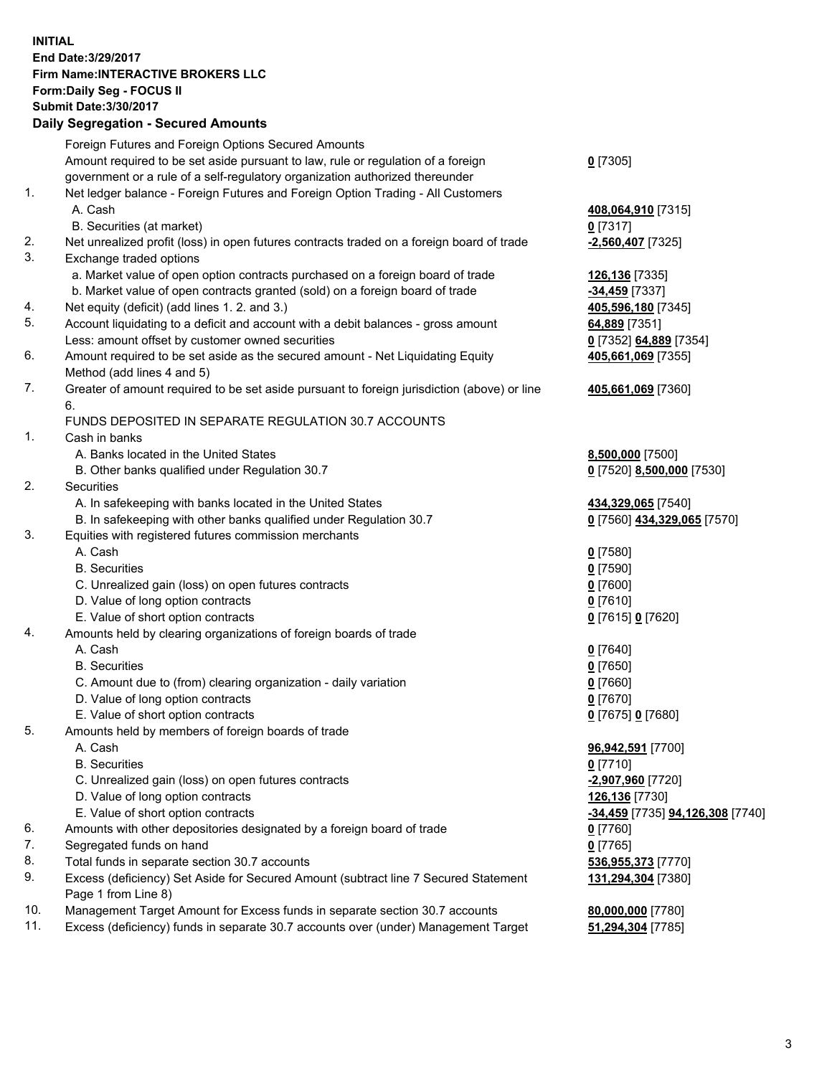## **INITIAL End Date:3/29/2017 Firm Name:INTERACTIVE BROKERS LLC Form:Daily Seg - FOCUS II Submit Date:3/30/2017**

## **Daily Segregation - Secured Amounts**

|     | Foreign Futures and Foreign Options Secured Amounts                                         |                                               |
|-----|---------------------------------------------------------------------------------------------|-----------------------------------------------|
|     | Amount required to be set aside pursuant to law, rule or regulation of a foreign            | $0$ [7305]                                    |
|     | government or a rule of a self-regulatory organization authorized thereunder                |                                               |
| 1.  | Net ledger balance - Foreign Futures and Foreign Option Trading - All Customers             |                                               |
|     | A. Cash                                                                                     | 408,064,910 [7315]                            |
|     | B. Securities (at market)                                                                   | $0$ [7317]                                    |
| 2.  | Net unrealized profit (loss) in open futures contracts traded on a foreign board of trade   | $-2,560,407$ [7325]                           |
| 3.  | Exchange traded options                                                                     |                                               |
|     | a. Market value of open option contracts purchased on a foreign board of trade              | 126,136 [7335]                                |
|     | b. Market value of open contracts granted (sold) on a foreign board of trade                | $-34,459$ [7337]                              |
| 4.  | Net equity (deficit) (add lines 1.2. and 3.)                                                | 405,596,180 [7345]                            |
| 5.  | Account liquidating to a deficit and account with a debit balances - gross amount           | 64,889 [7351]                                 |
|     | Less: amount offset by customer owned securities                                            | 0 [7352] 64,889 [7354]                        |
| 6.  | Amount required to be set aside as the secured amount - Net Liquidating Equity              | 405,661,069 [7355]                            |
|     | Method (add lines 4 and 5)                                                                  |                                               |
| 7.  | Greater of amount required to be set aside pursuant to foreign jurisdiction (above) or line | 405,661,069 [7360]                            |
|     | 6.                                                                                          |                                               |
|     | FUNDS DEPOSITED IN SEPARATE REGULATION 30.7 ACCOUNTS                                        |                                               |
| 1.  | Cash in banks                                                                               |                                               |
|     | A. Banks located in the United States                                                       |                                               |
|     | B. Other banks qualified under Regulation 30.7                                              | 8,500,000 [7500]<br>0 [7520] 8,500,000 [7530] |
| 2.  | Securities                                                                                  |                                               |
|     |                                                                                             |                                               |
|     | A. In safekeeping with banks located in the United States                                   | 434,329,065 [7540]                            |
| 3.  | B. In safekeeping with other banks qualified under Regulation 30.7                          | 0 [7560] 434,329,065 [7570]                   |
|     | Equities with registered futures commission merchants<br>A. Cash                            |                                               |
|     |                                                                                             | $0$ [7580]                                    |
|     | <b>B.</b> Securities                                                                        | $0$ [7590]                                    |
|     | C. Unrealized gain (loss) on open futures contracts                                         | $0$ [7600]                                    |
|     | D. Value of long option contracts                                                           | $0$ [7610]                                    |
|     | E. Value of short option contracts                                                          | 0 [7615] 0 [7620]                             |
| 4.  | Amounts held by clearing organizations of foreign boards of trade                           |                                               |
|     | A. Cash                                                                                     | $0$ [7640]                                    |
|     | <b>B.</b> Securities                                                                        | $0$ [7650]                                    |
|     | C. Amount due to (from) clearing organization - daily variation                             | $0$ [7660]                                    |
|     | D. Value of long option contracts                                                           | $0$ [7670]                                    |
|     | E. Value of short option contracts                                                          | 0 [7675] 0 [7680]                             |
| 5.  | Amounts held by members of foreign boards of trade                                          |                                               |
|     | A. Cash                                                                                     | 96,942,591 [7700]                             |
|     | <b>B.</b> Securities                                                                        | 0 <sup>[7710]</sup>                           |
|     | C. Unrealized gain (loss) on open futures contracts                                         | -2,907,960 [7720]                             |
|     | D. Value of long option contracts                                                           | 126,136 [7730]                                |
|     | E. Value of short option contracts                                                          | -34,459 [7735] 94,126,308 [7740]              |
| 6.  | Amounts with other depositories designated by a foreign board of trade                      | 0 [7760]                                      |
| 7.  | Segregated funds on hand                                                                    | $0$ [7765]                                    |
| 8.  | Total funds in separate section 30.7 accounts                                               | 536,955,373 [7770]                            |
| 9.  | Excess (deficiency) Set Aside for Secured Amount (subtract line 7 Secured Statement         | 131,294,304 [7380]                            |
|     | Page 1 from Line 8)                                                                         |                                               |
| 10. | Management Target Amount for Excess funds in separate section 30.7 accounts                 | 80,000,000 [7780]                             |
| 11. | Excess (deficiency) funds in separate 30.7 accounts over (under) Management Target          | 51,294,304 [7785]                             |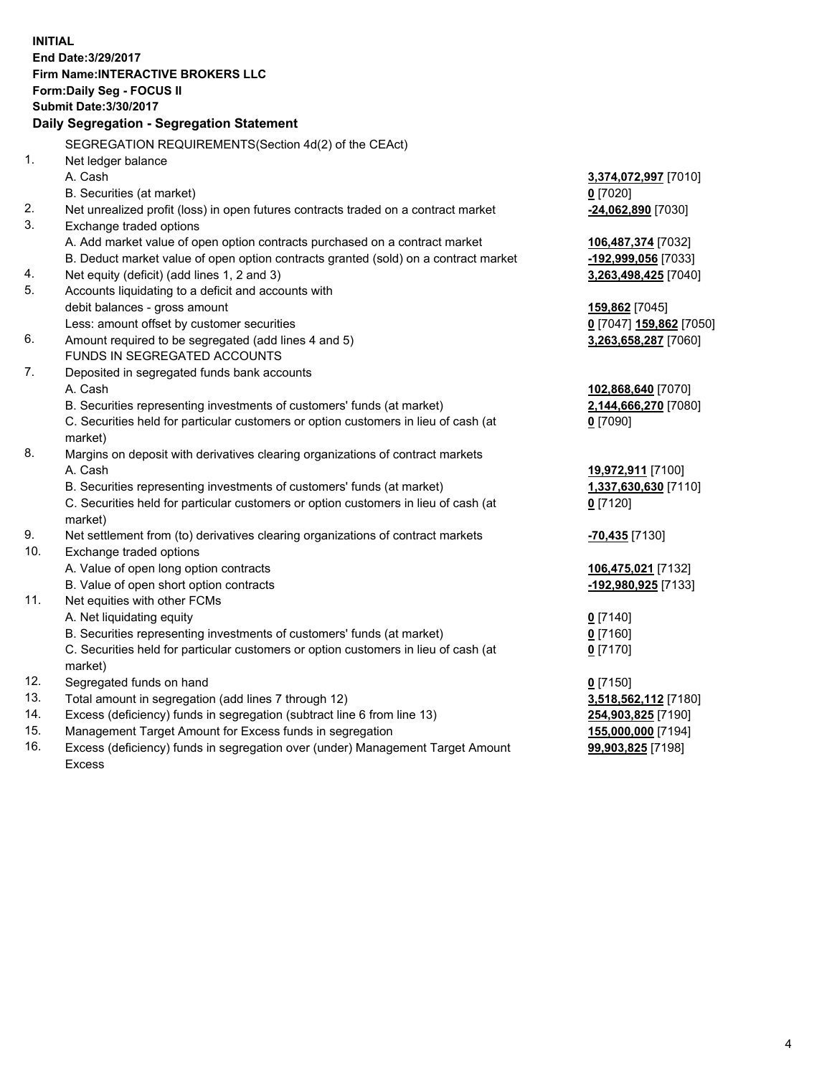**INITIAL End Date:3/29/2017 Firm Name:INTERACTIVE BROKERS LLC Form:Daily Seg - FOCUS II Submit Date:3/30/2017 Daily Segregation - Segregation Statement** SEGREGATION REQUIREMENTS(Section 4d(2) of the CEAct) 1. Net ledger balance A. Cash **3,374,072,997** [7010] B. Securities (at market) **0** [7020] 2. Net unrealized profit (loss) in open futures contracts traded on a contract market **-24,062,890** [7030] 3. Exchange traded options A. Add market value of open option contracts purchased on a contract market **106,487,374** [7032] B. Deduct market value of open option contracts granted (sold) on a contract market **-192,999,056** [7033] 4. Net equity (deficit) (add lines 1, 2 and 3) **3,263,498,425** [7040] 5. Accounts liquidating to a deficit and accounts with debit balances - gross amount **159,862** [7045] Less: amount offset by customer securities **0** [7047] **159,862** [7050] 6. Amount required to be segregated (add lines 4 and 5) **3,263,658,287** [7060] FUNDS IN SEGREGATED ACCOUNTS 7. Deposited in segregated funds bank accounts A. Cash **102,868,640** [7070] B. Securities representing investments of customers' funds (at market) **2,144,666,270** [7080] C. Securities held for particular customers or option customers in lieu of cash (at market) **0** [7090] 8. Margins on deposit with derivatives clearing organizations of contract markets A. Cash **19,972,911** [7100] B. Securities representing investments of customers' funds (at market) **1,337,630,630** [7110] C. Securities held for particular customers or option customers in lieu of cash (at market) **0** [7120] 9. Net settlement from (to) derivatives clearing organizations of contract markets **-70,435** [7130] 10. Exchange traded options A. Value of open long option contracts **106,475,021** [7132] B. Value of open short option contracts **-192,980,925** [7133] 11. Net equities with other FCMs A. Net liquidating equity **0** [7140] B. Securities representing investments of customers' funds (at market) **0** [7160] C. Securities held for particular customers or option customers in lieu of cash (at market) **0** [7170] 12. Segregated funds on hand **0** [7150] 13. Total amount in segregation (add lines 7 through 12) **3,518,562,112** [7180] 14. Excess (deficiency) funds in segregation (subtract line 6 from line 13) **254,903,825** [7190] 15. Management Target Amount for Excess funds in segregation **155,000,000** [7194]

16. Excess (deficiency) funds in segregation over (under) Management Target Amount Excess

**99,903,825** [7198]